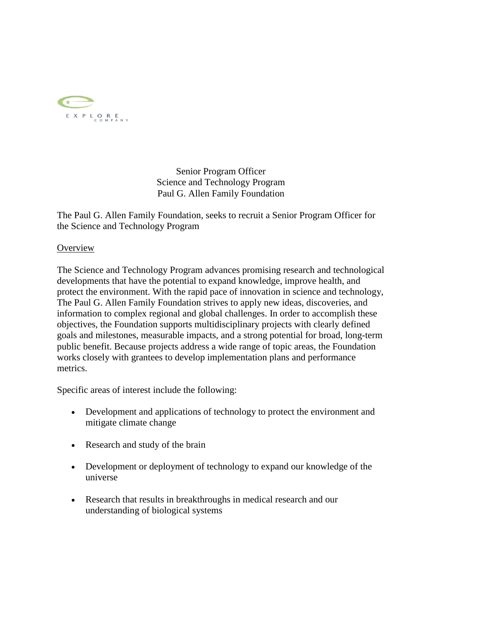

Senior Program Officer Science and Technology Program Paul G. Allen Family Foundation

The Paul G. Allen Family Foundation, seeks to recruit a Senior Program Officer for the Science and Technology Program

## **Overview**

The Science and Technology Program advances promising research and technological developments that have the potential to expand knowledge, improve health, and protect the environment. With the rapid pace of innovation in science and technology, The Paul G. Allen Family Foundation strives to apply new ideas, discoveries, and information to complex regional and global challenges. In order to accomplish these objectives, the Foundation supports multidisciplinary projects with clearly defined goals and milestones, measurable impacts, and a strong potential for broad, long-term public benefit. Because projects address a wide range of topic areas, the Foundation works closely with grantees to develop implementation plans and performance metrics.

Specific areas of interest include the following:

- Development and applications of technology to protect the environment and mitigate climate change
- Research and study of the brain
- Development or deployment of technology to expand our knowledge of the universe
- Research that results in breakthroughs in medical research and our understanding of biological systems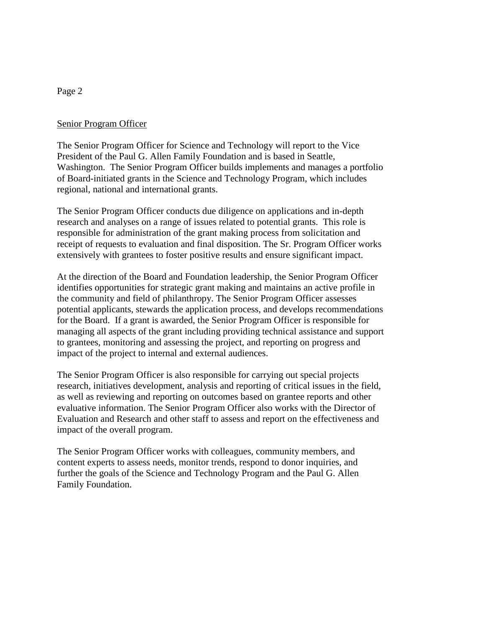# Senior Program Officer

The Senior Program Officer for Science and Technology will report to the Vice President of the Paul G. Allen Family Foundation and is based in Seattle, Washington. The Senior Program Officer builds implements and manages a portfolio of Board-initiated grants in the Science and Technology Program, which includes regional, national and international grants.

The Senior Program Officer conducts due diligence on applications and in-depth research and analyses on a range of issues related to potential grants. This role is responsible for administration of the grant making process from solicitation and receipt of requests to evaluation and final disposition. The Sr. Program Officer works extensively with grantees to foster positive results and ensure significant impact.

At the direction of the Board and Foundation leadership, the Senior Program Officer identifies opportunities for strategic grant making and maintains an active profile in the community and field of philanthropy. The Senior Program Officer assesses potential applicants, stewards the application process, and develops recommendations for the Board. If a grant is awarded, the Senior Program Officer is responsible for managing all aspects of the grant including providing technical assistance and support to grantees, monitoring and assessing the project, and reporting on progress and impact of the project to internal and external audiences.

The Senior Program Officer is also responsible for carrying out special projects research, initiatives development, analysis and reporting of critical issues in the field, as well as reviewing and reporting on outcomes based on grantee reports and other evaluative information. The Senior Program Officer also works with the Director of Evaluation and Research and other staff to assess and report on the effectiveness and impact of the overall program.

The Senior Program Officer works with colleagues, community members, and content experts to assess needs, monitor trends, respond to donor inquiries, and further the goals of the Science and Technology Program and the Paul G. Allen Family Foundation.

### Page 2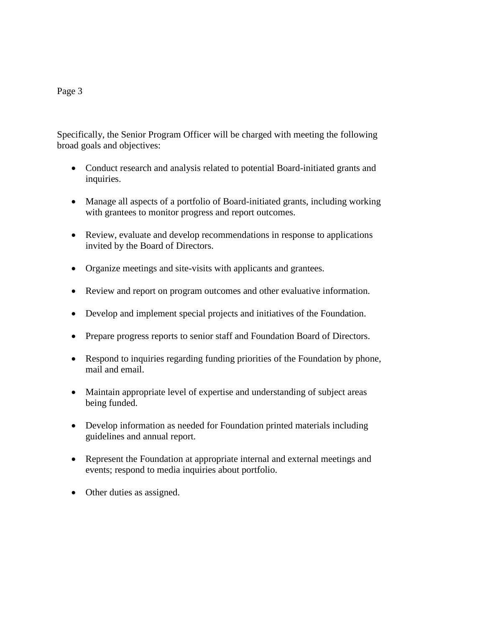#### Page 3

Specifically, the Senior Program Officer will be charged with meeting the following broad goals and objectives:

- Conduct research and analysis related to potential Board-initiated grants and inquiries.
- Manage all aspects of a portfolio of Board-initiated grants, including working with grantees to monitor progress and report outcomes.
- Review, evaluate and develop recommendations in response to applications invited by the Board of Directors.
- Organize meetings and site-visits with applicants and grantees.
- Review and report on program outcomes and other evaluative information.
- Develop and implement special projects and initiatives of the Foundation.
- Prepare progress reports to senior staff and Foundation Board of Directors.
- Respond to inquiries regarding funding priorities of the Foundation by phone, mail and email.
- Maintain appropriate level of expertise and understanding of subject areas being funded.
- Develop information as needed for Foundation printed materials including guidelines and annual report.
- Represent the Foundation at appropriate internal and external meetings and events; respond to media inquiries about portfolio.
- Other duties as assigned.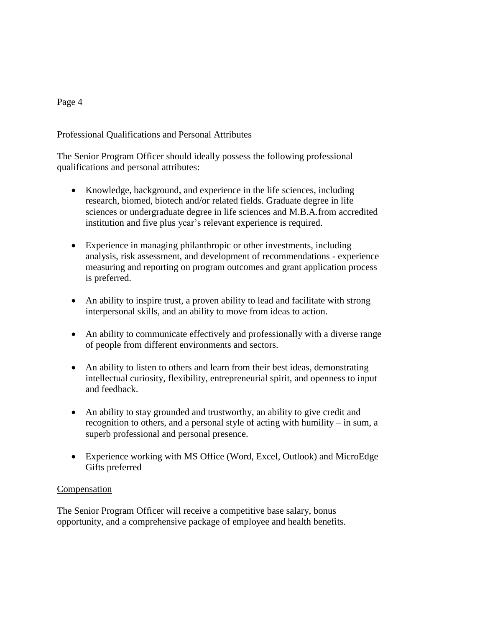## Page 4

## Professional Qualifications and Personal Attributes

The Senior Program Officer should ideally possess the following professional qualifications and personal attributes:

- Knowledge, background, and experience in the life sciences, including research, biomed, biotech and/or related fields. Graduate degree in life sciences or undergraduate degree in life sciences and M.B.A.from accredited institution and five plus year's relevant experience is required.
- Experience in managing philanthropic or other investments, including analysis, risk assessment, and development of recommendations - experience measuring and reporting on program outcomes and grant application process is preferred.
- An ability to inspire trust, a proven ability to lead and facilitate with strong interpersonal skills, and an ability to move from ideas to action.
- An ability to communicate effectively and professionally with a diverse range of people from different environments and sectors.
- An ability to listen to others and learn from their best ideas, demonstrating intellectual curiosity, flexibility, entrepreneurial spirit, and openness to input and feedback.
- An ability to stay grounded and trustworthy, an ability to give credit and recognition to others, and a personal style of acting with humility – in sum, a superb professional and personal presence.
- Experience working with MS Office (Word, Excel, Outlook) and MicroEdge Gifts preferred

#### Compensation

The Senior Program Officer will receive a competitive base salary, bonus opportunity, and a comprehensive package of employee and health benefits.